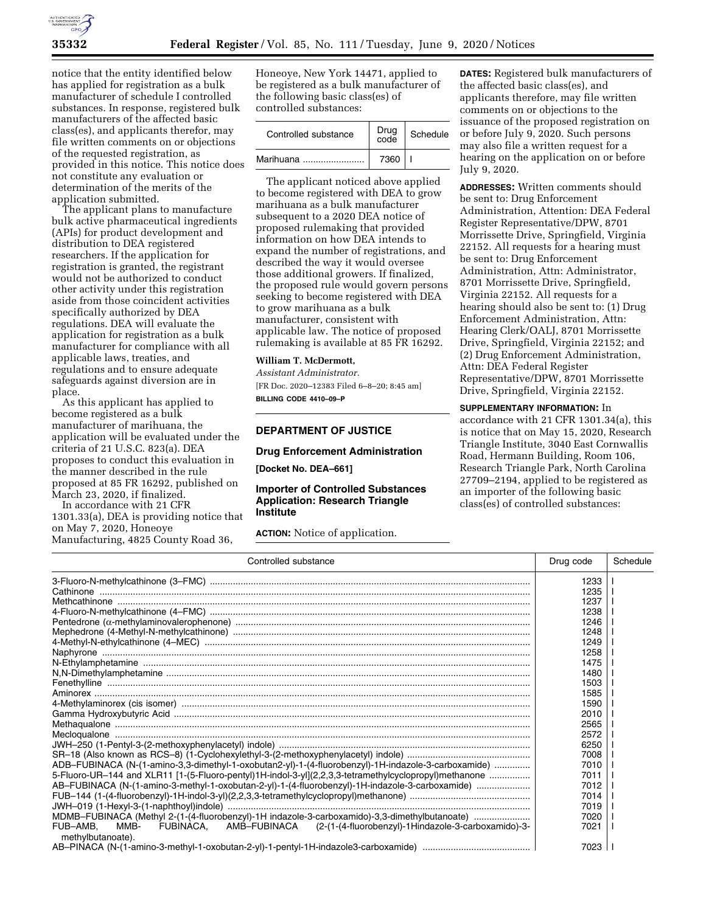

notice that the entity identified below has applied for registration as a bulk manufacturer of schedule I controlled substances. In response, registered bulk manufacturers of the affected basic class(es), and applicants therefor, may file written comments on or objections of the requested registration, as provided in this notice. This notice does not constitute any evaluation or determination of the merits of the application submitted.

The applicant plans to manufacture bulk active pharmaceutical ingredients (APIs) for product development and distribution to DEA registered researchers. If the application for registration is granted, the registrant would not be authorized to conduct other activity under this registration aside from those coincident activities specifically authorized by DEA regulations. DEA will evaluate the application for registration as a bulk manufacturer for compliance with all applicable laws, treaties, and regulations and to ensure adequate safeguards against diversion are in place.

As this applicant has applied to become registered as a bulk manufacturer of marihuana, the application will be evaluated under the criteria of 21 U.S.C. 823(a). DEA proposes to conduct this evaluation in the manner described in the rule proposed at 85 FR 16292, published on March 23, 2020, if finalized.

In accordance with 21 CFR 1301.33(a), DEA is providing notice that on May 7, 2020, Honeoye Manufacturing, 4825 County Road 36,

Honeoye, New York 14471, applied to be registered as a bulk manufacturer of the following basic class(es) of controlled substances:

| Controlled substance | Drug<br>code | Schedule |
|----------------------|--------------|----------|
| Marihuana            | 7360         |          |

The applicant noticed above applied to become registered with DEA to grow marihuana as a bulk manufacturer subsequent to a 2020 DEA notice of proposed rulemaking that provided information on how DEA intends to expand the number of registrations, and described the way it would oversee those additional growers. If finalized, the proposed rule would govern persons seeking to become registered with DEA to grow marihuana as a bulk manufacturer, consistent with applicable law. The notice of proposed rulemaking is available at 85 FR 16292.

# **William T. McDermott,**

*Assistant Administrator.*  [FR Doc. 2020–12383 Filed 6–8–20; 8:45 am] **BILLING CODE 4410–09–P** 

## **DEPARTMENT OF JUSTICE**

### **Drug Enforcement Administration**

**[Docket No. DEA–661]** 

# **Importer of Controlled Substances Application: Research Triangle Institute**

**ACTION:** Notice of application.

**DATES:** Registered bulk manufacturers of the affected basic class(es), and applicants therefore, may file written comments on or objections to the issuance of the proposed registration on or before July 9, 2020. Such persons may also file a written request for a hearing on the application on or before July 9, 2020.

**ADDRESSES:** Written comments should be sent to: Drug Enforcement Administration, Attention: DEA Federal Register Representative/DPW, 8701 Morrissette Drive, Springfield, Virginia 22152. All requests for a hearing must be sent to: Drug Enforcement Administration, Attn: Administrator, 8701 Morrissette Drive, Springfield, Virginia 22152. All requests for a hearing should also be sent to: (1) Drug Enforcement Administration, Attn: Hearing Clerk/OALJ, 8701 Morrissette Drive, Springfield, Virginia 22152; and (2) Drug Enforcement Administration, Attn: DEA Federal Register Representative/DPW, 8701 Morrissette Drive, Springfield, Virginia 22152.

# **SUPPLEMENTARY INFORMATION:** In

accordance with 21 CFR 1301.34(a), this is notice that on May 15, 2020, Research Triangle Institute, 3040 East Cornwallis Road, Hermann Building, Room 106, Research Triangle Park, North Carolina 27709–2194, applied to be registered as an importer of the following basic class(es) of controlled substances:

| Controlled substance                                                                                                   | Drug code | Schedule |
|------------------------------------------------------------------------------------------------------------------------|-----------|----------|
|                                                                                                                        | 1233      |          |
|                                                                                                                        | 1235      |          |
|                                                                                                                        | 1237      |          |
|                                                                                                                        | 1238      |          |
|                                                                                                                        | 1246      |          |
|                                                                                                                        | 1248      |          |
|                                                                                                                        | 1249      |          |
|                                                                                                                        | 1258      |          |
|                                                                                                                        | 1475      |          |
|                                                                                                                        | 1480      |          |
|                                                                                                                        | 1503      |          |
|                                                                                                                        | 1585      |          |
|                                                                                                                        | 1590      |          |
|                                                                                                                        | 2010      |          |
|                                                                                                                        | 2565      |          |
|                                                                                                                        | 2572      |          |
|                                                                                                                        | 6250      |          |
|                                                                                                                        | 7008      |          |
| ADB-FUBINACA (N-(1-amino-3,3-dimethyl-1-oxobutan2-yl)-1-(4-fluorobenzyl)-1H-indazole-3-carboxamide)                    | 7010      |          |
| 5-Fluoro-UR-144 and XLR11 [1-(5-Fluoro-pentyl)1H-indol-3-yl](2,2,3,3-tetramethylcyclopropyl)methanone                  | 7011      |          |
| AB-FUBINACA (N-(1-amino-3-methyl-1-oxobutan-2-yl)-1-(4-fluorobenzyl)-1H-indazole-3-carboxamide)                        | 7012      |          |
|                                                                                                                        | 7014      |          |
|                                                                                                                        | 7019      |          |
| MDMB-FUBINACA (Methyl 2-(1-(4-fluorobenzyl)-1H indazole-3-carboxamido)-3,3-dimethylbutanoate)                          | 7020      |          |
| AMB-FUBINACA (2-(1-(4-fluorobenzyl)-1Hindazole-3-carboxamido)-3-<br>FUB-AMB,<br>MMB-<br>FUBINACA.<br>methylbutanoate). | 7021      |          |
|                                                                                                                        | 7023      |          |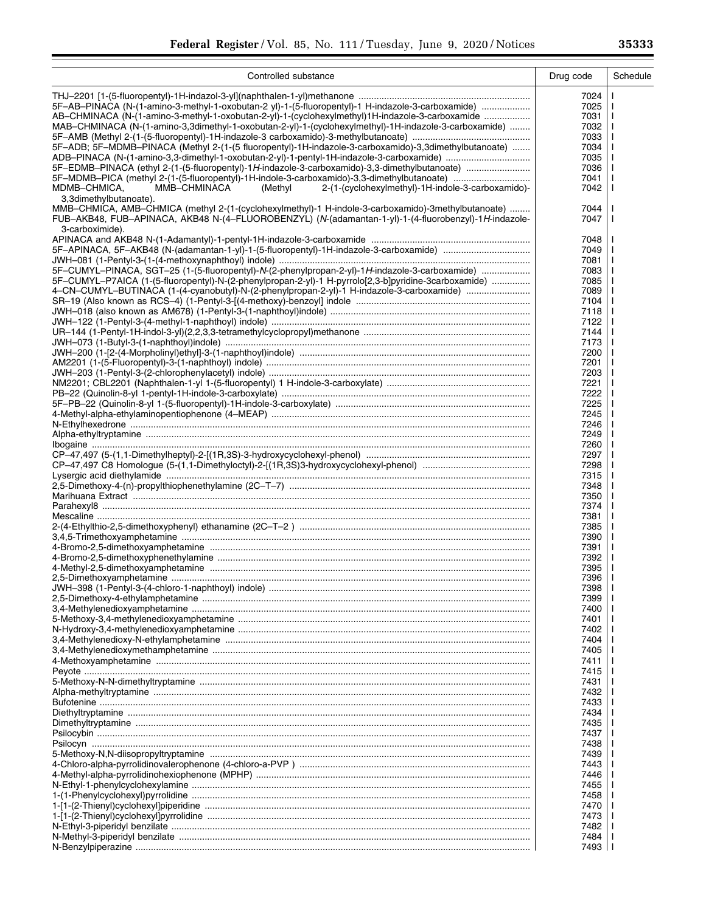Ξ

| Controlled substance                                                                                  | Drug code    | Schedule |
|-------------------------------------------------------------------------------------------------------|--------------|----------|
|                                                                                                       | 7024         |          |
| 5F-AB-PINACA (N-(1-amino-3-methyl-1-oxobutan-2 yl)-1-(5-fluoropentyl)-1 H-indazole-3-carboxamide)     | 7025         |          |
| AB-CHMINACA (N-(1-amino-3-methyl-1-oxobutan-2-yl)-1-(cyclohexylmethyl)1H-indazole-3-carboxamide       | 7031         | H        |
|                                                                                                       |              | H        |
| MAB-CHMINACA (N-(1-amino-3,3dimethyl-1-oxobutan-2-yl)-1-(cyclohexylmethyl)-1H-indazole-3-carboxamide) | 7032         |          |
|                                                                                                       | 7033         | ı<br>J.  |
| 5F-ADB; 5F-MDMB-PINACA (Methyl 2-(1-(5 fluoropentyl)-1H-indazole-3-carboxamido)-3,3dimethylbutanoate) | 7034<br>7035 |          |
|                                                                                                       | 7036         | J.       |
|                                                                                                       | 7041         |          |
| MDMB-CHMICA,<br>MMB-CHMINACA<br>2-(1-(cyclohexylmethyl)-1H-indole-3-carboxamido)-<br>(Methyl          | 7042         | H        |
| 3,3dimethylbutanoate).                                                                                |              |          |
| MMB-CHMICA, AMB-CHMICA (methyl 2-(1-(cyclohexylmethyl)-1 H-indole-3-carboxamido)-3methylbutanoate)    | 7044         |          |
| FUB-AKB48, FUB-APINACA, AKB48 N-(4-FLUOROBENZYL) (N-(adamantan-1-yl)-1-(4-fluorobenzyl)-1H-indazole-  | 7047         | ı        |
| 3-carboximide).                                                                                       |              |          |
|                                                                                                       | 7048         |          |
|                                                                                                       | 7049         |          |
|                                                                                                       | 7081         |          |
| 5F-CUMYL-PINACA, SGT-25 (1-(5-fluoropentyl)-N-(2-phenylpropan-2-yl)-1H-indazole-3-carboxamide)        | 7083         |          |
| 5F-CUMYL-P7AICA (1-(5-fluoropentyl)-N-(2-phenylpropan-2-yl)-1 H-pyrrolo[2,3-b]pyridine-3carboxamide)  | 7085         |          |
| 4-CN-CUMYL-BUTINACA (1-(4-cyanobutyl)-N-(2-phenylpropan-2-yl)-1 H-indazole-3-carboxamide)             | 7089         |          |
|                                                                                                       | 7104         |          |
|                                                                                                       | 7118         |          |
| JWH-122 (1-Pentyl-3-(4-methyl-1-naphthoyl) indole) ………………………………………………………………………………                     | 7122         |          |
|                                                                                                       | 7144         |          |
|                                                                                                       | 7173         |          |
|                                                                                                       | 7200         |          |
|                                                                                                       | 7201         |          |
|                                                                                                       | 7203         |          |
|                                                                                                       | 7221         |          |
|                                                                                                       | 7222         | H        |
|                                                                                                       | 7225         | H        |
|                                                                                                       | 7245         | H        |
|                                                                                                       | 7246         | H        |
|                                                                                                       | 7249         |          |
|                                                                                                       | 7260         | ı        |
|                                                                                                       | 7297         | ı        |
|                                                                                                       | 7298         | H        |
|                                                                                                       | 7315         |          |
|                                                                                                       | 7348         |          |
|                                                                                                       | 7350         |          |
|                                                                                                       | 7374         |          |
|                                                                                                       | 7381         |          |
|                                                                                                       | 7385         |          |
|                                                                                                       | 7390         |          |
|                                                                                                       | 7391         |          |
|                                                                                                       | 7392         |          |
|                                                                                                       | 7395         |          |
|                                                                                                       | 7396         |          |
|                                                                                                       | 7398         |          |
|                                                                                                       | 7399         |          |
|                                                                                                       | 7400         |          |
|                                                                                                       | 7401         |          |
|                                                                                                       | 7402         |          |
|                                                                                                       | 7404         |          |
|                                                                                                       | 7405         |          |
|                                                                                                       | 7411         |          |
|                                                                                                       | 7415         |          |
|                                                                                                       | 7431         |          |
|                                                                                                       | 7432         |          |
|                                                                                                       | 7433         |          |
|                                                                                                       | 7434         |          |
|                                                                                                       | 7435         |          |
|                                                                                                       | 7437         |          |
|                                                                                                       | 7438         |          |
|                                                                                                       | 7439         |          |
|                                                                                                       | 7443         |          |
|                                                                                                       | 7446         |          |
|                                                                                                       | 7455         |          |
|                                                                                                       | 7458         |          |
|                                                                                                       | 7470         |          |
|                                                                                                       | 7473         |          |
|                                                                                                       | 7482<br>7484 |          |
|                                                                                                       | 7493         |          |
|                                                                                                       |              |          |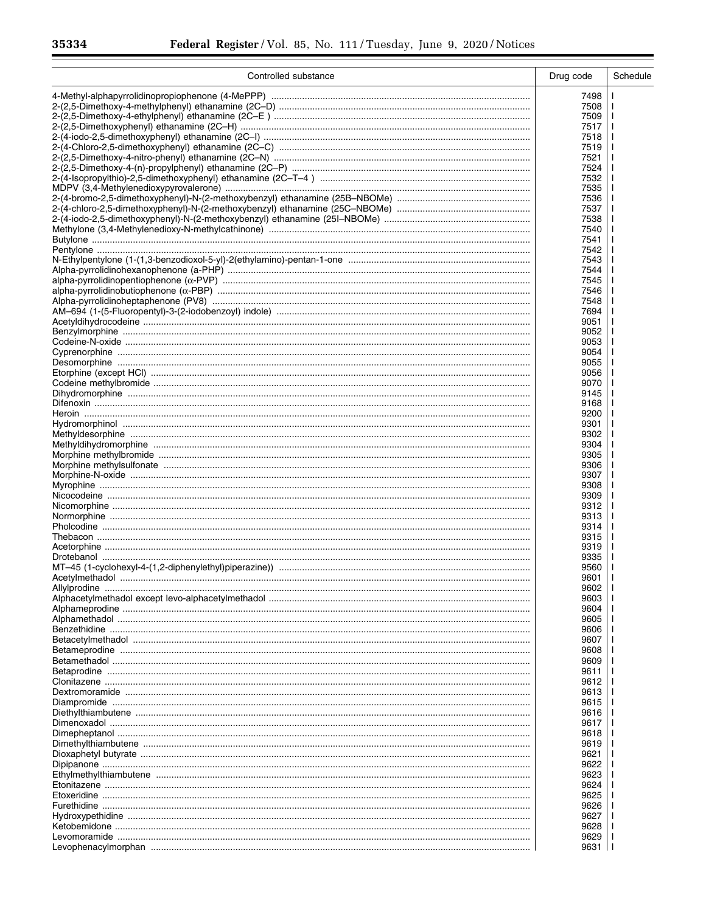$\equiv$ 

| Controlled substance | Drug code    | Schedule |
|----------------------|--------------|----------|
|                      | 7498         |          |
|                      | 7508         |          |
|                      | 7509         |          |
|                      | 7517         |          |
|                      | 7518         |          |
|                      | 7519         |          |
|                      | 7521<br>7524 |          |
|                      | 7532         |          |
|                      | 7535         |          |
|                      | 7536         |          |
|                      | 7537         |          |
|                      | 7538         |          |
|                      | 7540<br>7541 |          |
|                      | 7542         |          |
|                      | 7543         |          |
|                      | 7544         |          |
|                      | 7545         |          |
|                      | 7546         |          |
|                      | 7548         |          |
|                      | 7694         |          |
|                      | 9051<br>9052 |          |
|                      | 9053         |          |
|                      | 9054         |          |
|                      | 9055         |          |
|                      | 9056         |          |
|                      | 9070         |          |
|                      | 9145<br>9168 |          |
|                      | 9200         |          |
|                      | 9301         |          |
|                      | 9302         |          |
|                      | 9304         |          |
|                      | 9305         |          |
|                      | 9306<br>9307 |          |
|                      | 9308         |          |
|                      | 9309         |          |
|                      | 9312         |          |
|                      | 9313         |          |
|                      | 9314         |          |
|                      | 9315<br>9319 |          |
|                      | 9335         |          |
|                      | 9560         |          |
|                      | 9601         |          |
|                      | 9602         |          |
|                      | 9603         |          |
|                      | 9604<br>9605 |          |
|                      | 9606         |          |
|                      | 9607         |          |
|                      | 9608         |          |
|                      | 9609         |          |
|                      | 9611         |          |
|                      | 9612         |          |
|                      | 9613<br>9615 |          |
|                      | 9616         |          |
|                      | 9617         |          |
|                      | 9618         |          |
|                      | 9619         |          |
|                      | 9621         |          |
|                      | 9622<br>9623 |          |
|                      | 9624         |          |
|                      | 9625         |          |
|                      | 9626         |          |
|                      | 9627         |          |
|                      | 9628         |          |
|                      | 9629<br>9631 |          |
|                      |              |          |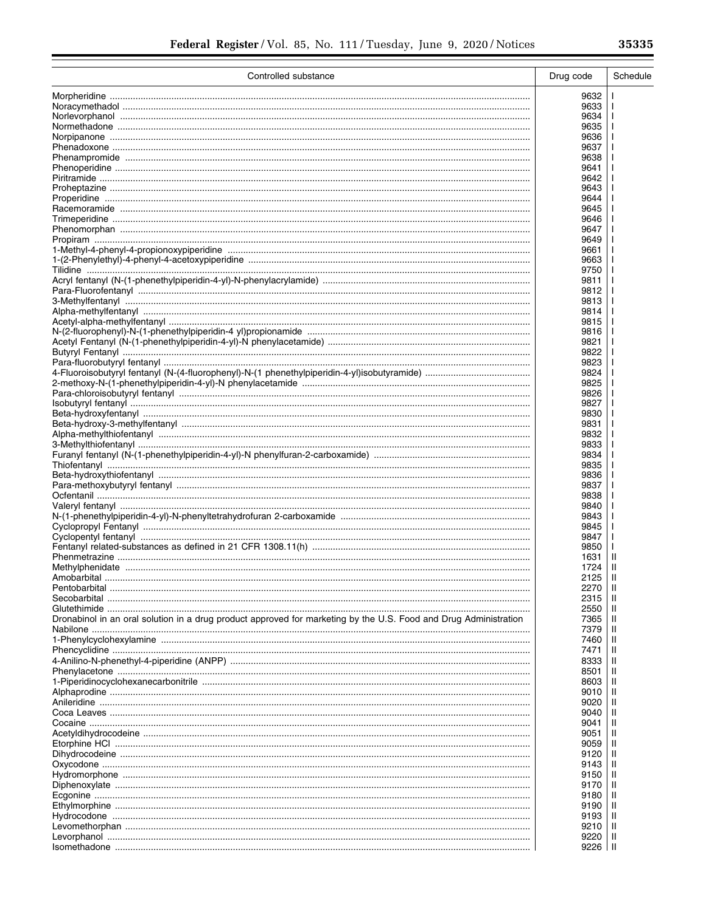$\equiv$ 

| Controlled substance                                                                                             | Drug code    | Schedule |
|------------------------------------------------------------------------------------------------------------------|--------------|----------|
|                                                                                                                  | 9632         |          |
|                                                                                                                  | 9633         |          |
|                                                                                                                  | 9634         |          |
|                                                                                                                  | 9635<br>9636 |          |
|                                                                                                                  | 9637         |          |
|                                                                                                                  | 9638         |          |
|                                                                                                                  | 9641         |          |
|                                                                                                                  | 9642         |          |
|                                                                                                                  | 9643         |          |
|                                                                                                                  | 9644<br>9645 |          |
|                                                                                                                  | 9646         |          |
|                                                                                                                  | 9647         |          |
|                                                                                                                  | 9649         |          |
|                                                                                                                  | 9661         |          |
|                                                                                                                  | 9663         |          |
|                                                                                                                  | 9750<br>9811 |          |
|                                                                                                                  | 9812         |          |
|                                                                                                                  | 9813         |          |
|                                                                                                                  | 9814         |          |
|                                                                                                                  | 9815         |          |
|                                                                                                                  | 9816<br>9821 |          |
|                                                                                                                  | 9822         |          |
|                                                                                                                  | 9823         |          |
|                                                                                                                  | 9824         |          |
|                                                                                                                  | 9825         |          |
|                                                                                                                  | 9826         |          |
|                                                                                                                  | 9827<br>9830 |          |
|                                                                                                                  | 9831         |          |
|                                                                                                                  | 9832         |          |
|                                                                                                                  | 9833         |          |
|                                                                                                                  | 9834         |          |
|                                                                                                                  | 9835<br>9836 |          |
|                                                                                                                  | 9837         |          |
|                                                                                                                  | 9838         |          |
|                                                                                                                  | 9840         |          |
|                                                                                                                  | 9843         |          |
|                                                                                                                  | 9845         |          |
|                                                                                                                  | 9847<br>9850 |          |
|                                                                                                                  | 1631         | Ш        |
|                                                                                                                  | 1724         | Ш        |
| Amobarbital                                                                                                      | 2125         | -H       |
|                                                                                                                  | 2270         | Ш        |
| Secobarbital                                                                                                     | 2315         | Ш        |
| Dronabinol in an oral solution in a drug product approved for marketing by the U.S. Food and Drug Administration | 2550<br>7365 | Ш<br>Ш   |
|                                                                                                                  | 7379         | Ш        |
|                                                                                                                  | 7460         | Ш        |
|                                                                                                                  | 7471         | Ш        |
|                                                                                                                  | 8333         | Ш        |
|                                                                                                                  | 8501<br>8603 | Ш<br>Ш   |
|                                                                                                                  | 9010         | Ш        |
|                                                                                                                  | 9020         | Ш        |
|                                                                                                                  | 9040         | Ш        |
|                                                                                                                  | 9041         | Ш        |
|                                                                                                                  | 9051         | Ш        |
|                                                                                                                  | 9059<br>9120 | Ш<br>Ш   |
|                                                                                                                  | 9143         | Ш        |
|                                                                                                                  | 9150         | Ш        |
|                                                                                                                  | 9170         | Ш        |
|                                                                                                                  | 9180         | Ш        |
|                                                                                                                  | 9190         | Ш        |
|                                                                                                                  | 9193<br>9210 | Ш<br>Ш   |
|                                                                                                                  | 9220         | Ш        |
|                                                                                                                  | 9226         | H        |